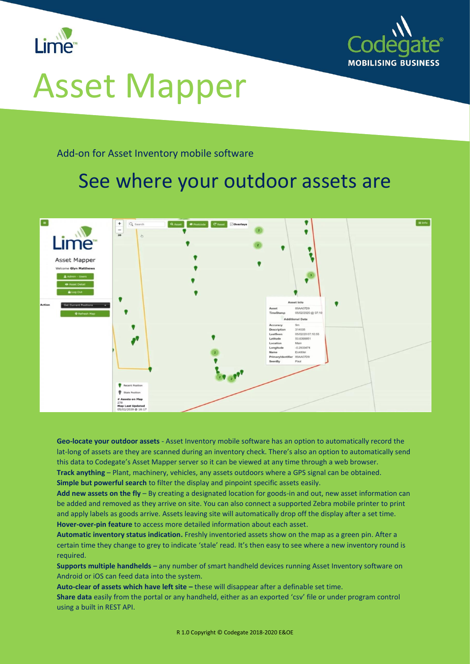



## Asset Mapper

Add-on for Asset Inventory mobile software

## See where your outdoor assets are



**Geo-locate your outdoor assets** - Asset Inventory mobile software has an option to automatically record the lat-long of assets are they are scanned during an inventory check. There's also an option to automatically send this data to Codegate's Asset Mapper server so it can be viewed at any time through a web browser. **Track anything** – Plant, machinery, vehicles, any assets outdoors where a GPS signal can be obtained. **Simple but powerful search** to filter the display and pinpoint specific assets easily.

**Add new assets on the fly** – By creating a designated location for goods-in and out, new asset information can be added and removed as they arrive on site. You can also connect a supported Zebra mobile printer to print and apply labels as goods arrive. Assets leaving site will automatically drop off the display after a set time. **Hover-over-pin feature** to access more detailed information about each asset.

**Automatic inventory status indication.** Freshly inventoried assets show on the map as a green pin. After a certain time they change to grey to indicate 'stale' read. It's then easy to see where a new inventory round is required.

**Supports multiple handhelds** – any number of smart handheld devices running Asset Inventory software on Android or iOS can feed data into the system.

**Auto-clear of assets which have left site –** these will disappear after a definable set time. **Share data** easily from the portal or any handheld, either as an exported 'csv' file or under program control using a built in REST API.